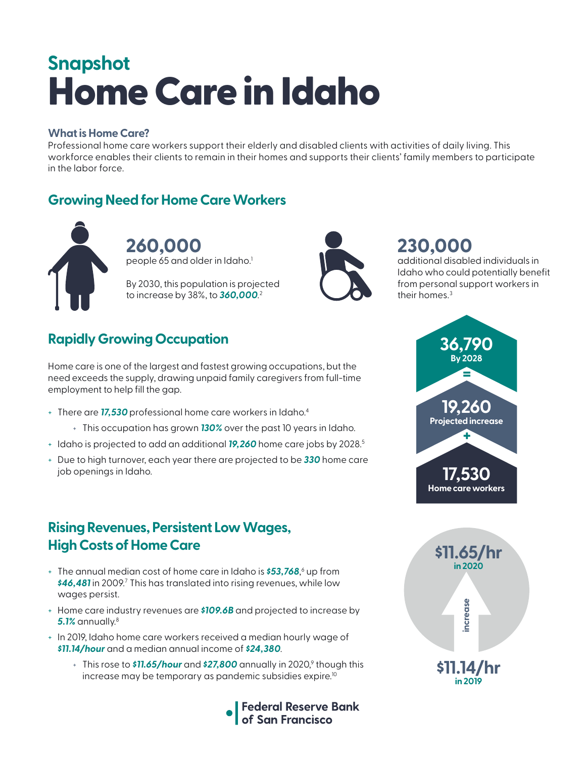# Home Care in Idaho **Snapshot**

#### **What is Home Care?**

Professional home care workers support their elderly and disabled clients with activities of daily living. This workforce enables their clients to remain in their homes and supports their clients' family members to participate in the labor force.

### **Growing Need for Home Care Workers**



**260,000**  people 65 and older in Idaho.<sup>1</sup>

By 2030, this population is projected to increase by 38%, to *360,000*. 2



# **230,000**

additional disabled individuals in Idaho who could potentially benefit from personal support workers in their homes.<sup>3</sup>

# **Rapidly Growing Occupation**

Home care is one of the largest and fastest growing occupations, but the need exceeds the supply, drawing unpaid family caregivers from full-time employment to help fill the gap.

- + There are *17,530* professional home care workers in Idaho.4
	- + This occupation has grown *130%* over the past 10 years in Idaho.
- + Idaho is projected to add an additional *19,260* home care jobs by 2028.5
- + Due to high turnover, each year there are projected to be *330* home care job openings in Idaho.

### **Rising Revenues, Persistent Low Wages, High Costs of Home Care**

- + The annual median cost of home care in Idaho is **\$53,768**,<sup>6</sup> up from \$46,481 in 2009.<sup>7</sup> This has translated into rising revenues, while low wages persist.
- + Home care industry revenues are *\$109.6B* and projected to increase by *5.1%* annually.8
- + In 2019, Idaho home care workers received a median hourly wage of *\$11.14/hour* and a median annual income of *\$24,380*.
	- + This rose to **\$11.65/hour** and **\$27,800** annually in 2020,<sup>9</sup> though this increase may be temporary as pandemic subsidies expire.<sup>10</sup>





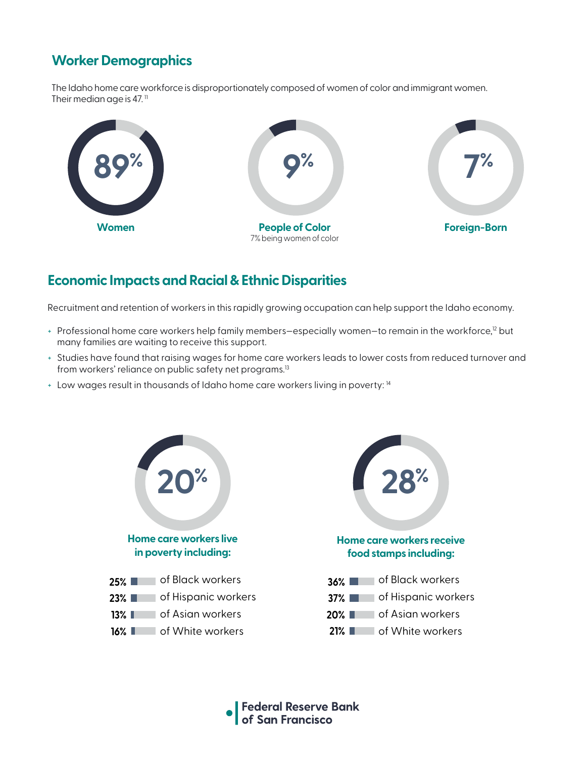# **Worker Demographics**

The Idaho home care workforce is disproportionately composed of women of color and immigrant women. Their median age is 47. $<sup>11</sup>$ </sup>



### **Economic Impacts and Racial & Ethnic Disparities**

Recruitment and retention of workers in this rapidly growing occupation can help support the Idaho economy.

- + Professional home care workers help family members-especially women-to remain in the workforce,<sup>12</sup> but many families are waiting to receive this support.
- + Studies have found that raising wages for home care workers leads to lower costs from reduced turnover and from workers' reliance on public safety net programs.<sup>13</sup>
- + Low wages result in thousands of Idaho home care workers living in poverty: 14